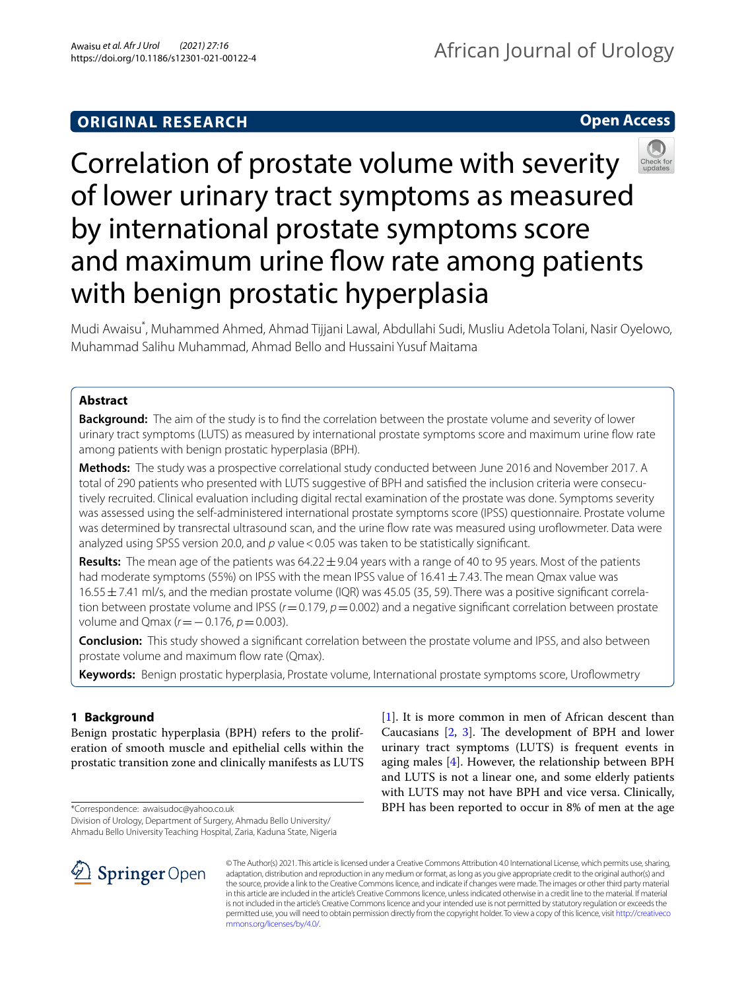# **ORIGINAL RESEARCH**

**Open Access**



Mudi Awaisu\* , Muhammed Ahmed, Ahmad Tijjani Lawal, Abdullahi Sudi, Musliu Adetola Tolani, Nasir Oyelowo, Muhammad Salihu Muhammad, Ahmad Bello and Hussaini Yusuf Maitama

## **Abstract**

**Background:** The aim of the study is to fnd the correlation between the prostate volume and severity of lower urinary tract symptoms (LUTS) as measured by international prostate symptoms score and maximum urine fow rate among patients with benign prostatic hyperplasia (BPH).

**Methods:** The study was a prospective correlational study conducted between June 2016 and November 2017. A total of 290 patients who presented with LUTS suggestive of BPH and satisfed the inclusion criteria were consecutively recruited. Clinical evaluation including digital rectal examination of the prostate was done. Symptoms severity was assessed using the self-administered international prostate symptoms score (IPSS) questionnaire. Prostate volume was determined by transrectal ultrasound scan, and the urine flow rate was measured using uroflowmeter. Data were analyzed using SPSS version 20.0, and p value < 0.05 was taken to be statistically significant.

**Results:** The mean age of the patients was 64.22±9.04 years with a range of 40 to 95 years. Most of the patients had moderate symptoms (55%) on IPSS with the mean IPSS value of  $16.41 \pm 7.43$ . The mean Qmax value was  $16.55 \pm 7.41$  ml/s, and the median prostate volume (IQR) was 45.05 (35, 59). There was a positive significant correlation between prostate volume and IPSS ( $r=0.179$ ,  $p=0.002$ ) and a negative significant correlation between prostate volume and Qmax (*r*=−0.176, *p*=0.003).

**Conclusion:** This study showed a signifcant correlation between the prostate volume and IPSS, and also between prostate volume and maximum flow rate (Qmax).

**Keywords:** Benign prostatic hyperplasia, Prostate volume, International prostate symptoms score, Urofowmetry

# **1 Background**

Benign prostatic hyperplasia (BPH) refers to the proliferation of smooth muscle and epithelial cells within the prostatic transition zone and clinically manifests as LUTS

\*Correspondence: awaisudoc@yahoo.co.uk

Division of Urology, Department of Surgery, Ahmadu Bello University/ Ahmadu Bello University Teaching Hospital, Zaria, Kaduna State, Nigeria



[[1\]](#page-6-0). It is more common in men of African descent than Caucasians  $[2, 3]$  $[2, 3]$  $[2, 3]$  $[2, 3]$  $[2, 3]$ . The development of BPH and lower urinary tract symptoms (LUTS) is frequent events in aging males [[4](#page-6-3)]. However, the relationship between BPH and LUTS is not a linear one, and some elderly patients with LUTS may not have BPH and vice versa. Clinically, BPH has been reported to occur in 8% of men at the age

© The Author(s) 2021. This article is licensed under a Creative Commons Attribution 4.0 International License, which permits use, sharing, adaptation, distribution and reproduction in any medium or format, as long as you give appropriate credit to the original author(s) and the source, provide a link to the Creative Commons licence, and indicate if changes were made. The images or other third party material in this article are included in the article's Creative Commons licence, unless indicated otherwise in a credit line to the material. If material is not included in the article's Creative Commons licence and your intended use is not permitted by statutory regulation or exceeds the permitted use, you will need to obtain permission directly from the copyright holder. To view a copy of this licence, visit [http://creativeco](http://creativecommons.org/licenses/by/4.0/) [mmons.org/licenses/by/4.0/.](http://creativecommons.org/licenses/by/4.0/)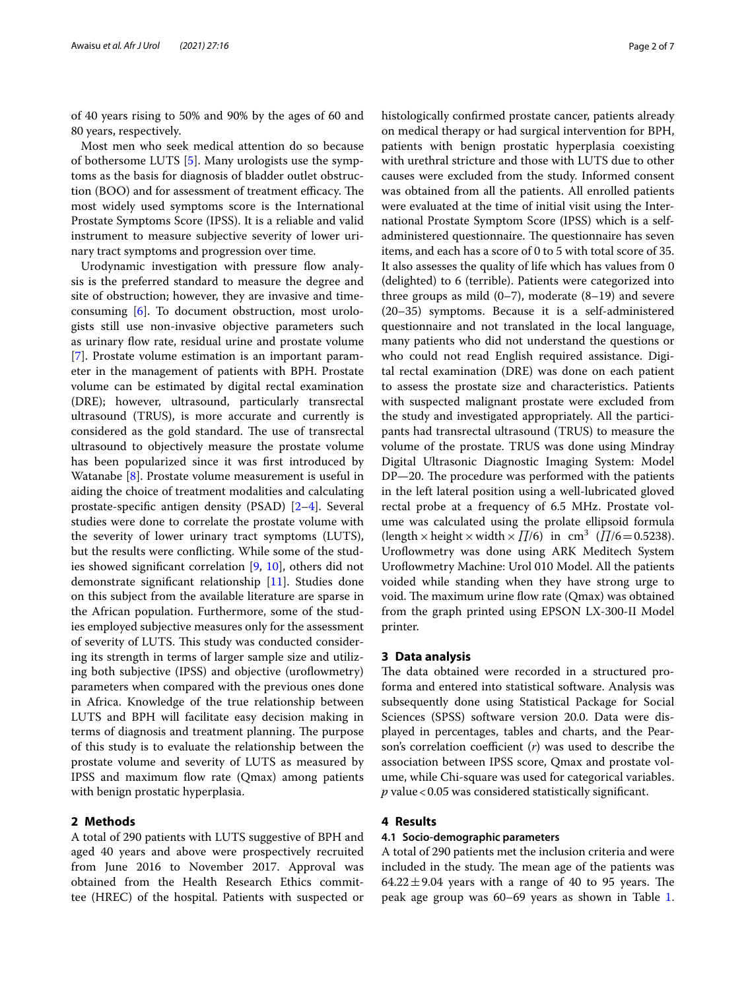of 40 years rising to 50% and 90% by the ages of 60 and 80 years, respectively.

Most men who seek medical attention do so because of bothersome LUTS [[5\]](#page-6-4). Many urologists use the symptoms as the basis for diagnosis of bladder outlet obstruction (BOO) and for assessment of treatment efficacy. The most widely used symptoms score is the International Prostate Symptoms Score (IPSS). It is a reliable and valid instrument to measure subjective severity of lower urinary tract symptoms and progression over time.

Urodynamic investigation with pressure flow analysis is the preferred standard to measure the degree and site of obstruction; however, they are invasive and timeconsuming [[6](#page-6-5)]. To document obstruction, most urologists still use non-invasive objective parameters such as urinary flow rate, residual urine and prostate volume [[7\]](#page-6-6). Prostate volume estimation is an important parameter in the management of patients with BPH. Prostate volume can be estimated by digital rectal examination (DRE); however, ultrasound, particularly transrectal ultrasound (TRUS), is more accurate and currently is considered as the gold standard. The use of transrectal ultrasound to objectively measure the prostate volume has been popularized since it was frst introduced by Watanabe [[8\]](#page-6-7). Prostate volume measurement is useful in aiding the choice of treatment modalities and calculating prostate-specifc antigen density (PSAD) [[2](#page-6-1)[–4](#page-6-3)]. Several studies were done to correlate the prostate volume with the severity of lower urinary tract symptoms (LUTS), but the results were conficting. While some of the studies showed signifcant correlation [\[9](#page-6-8), [10\]](#page-6-9), others did not demonstrate signifcant relationship [\[11\]](#page-6-10). Studies done on this subject from the available literature are sparse in the African population. Furthermore, some of the studies employed subjective measures only for the assessment of severity of LUTS. This study was conducted considering its strength in terms of larger sample size and utilizing both subjective (IPSS) and objective (uroflowmetry) parameters when compared with the previous ones done in Africa. Knowledge of the true relationship between LUTS and BPH will facilitate easy decision making in terms of diagnosis and treatment planning. The purpose of this study is to evaluate the relationship between the prostate volume and severity of LUTS as measured by IPSS and maximum flow rate (Qmax) among patients with benign prostatic hyperplasia.

### **2 Methods**

A total of 290 patients with LUTS suggestive of BPH and aged 40 years and above were prospectively recruited from June 2016 to November 2017. Approval was obtained from the Health Research Ethics committee (HREC) of the hospital. Patients with suspected or histologically confrmed prostate cancer, patients already on medical therapy or had surgical intervention for BPH, patients with benign prostatic hyperplasia coexisting with urethral stricture and those with LUTS due to other causes were excluded from the study. Informed consent was obtained from all the patients. All enrolled patients were evaluated at the time of initial visit using the International Prostate Symptom Score (IPSS) which is a selfadministered questionnaire. The questionnaire has seven items, and each has a score of 0 to 5 with total score of 35. It also assesses the quality of life which has values from 0 (delighted) to 6 (terrible). Patients were categorized into three groups as mild  $(0–7)$ , moderate  $(8–19)$  and severe (20–35) symptoms. Because it is a self-administered questionnaire and not translated in the local language, many patients who did not understand the questions or who could not read English required assistance. Digital rectal examination (DRE) was done on each patient to assess the prostate size and characteristics. Patients with suspected malignant prostate were excluded from the study and investigated appropriately. All the participants had transrectal ultrasound (TRUS) to measure the volume of the prostate. TRUS was done using Mindray Digital Ultrasonic Diagnostic Imaging System: Model  $DP-20$ . The procedure was performed with the patients in the left lateral position using a well-lubricated gloved rectal probe at a frequency of 6.5 MHz. Prostate volume was calculated using the prolate ellipsoid formula (length × height × width ×  $\prod/6$ ) in cm<sup>3</sup> ( $\prod/6$ =0.5238). Uroflowmetry was done using ARK Meditech System Uroflowmetry Machine: Urol 010 Model. All the patients voided while standing when they have strong urge to void. The maximum urine flow rate (Qmax) was obtained from the graph printed using EPSON LX-300-II Model printer.

### **3 Data analysis**

The data obtained were recorded in a structured proforma and entered into statistical software. Analysis was subsequently done using Statistical Package for Social Sciences (SPSS) software version 20.0. Data were displayed in percentages, tables and charts, and the Pearson's correlation coefficient  $(r)$  was used to describe the association between IPSS score, Qmax and prostate volume, while Chi-square was used for categorical variables. *p* value<0.05 was considered statistically signifcant.

### **4 Results**

### **4.1 Socio‑demographic parameters**

A total of 290 patients met the inclusion criteria and were included in the study. The mean age of the patients was  $64.22 \pm 9.04$  years with a range of 40 to 95 years. The peak age group was 60–69 years as shown in Table [1](#page-2-0).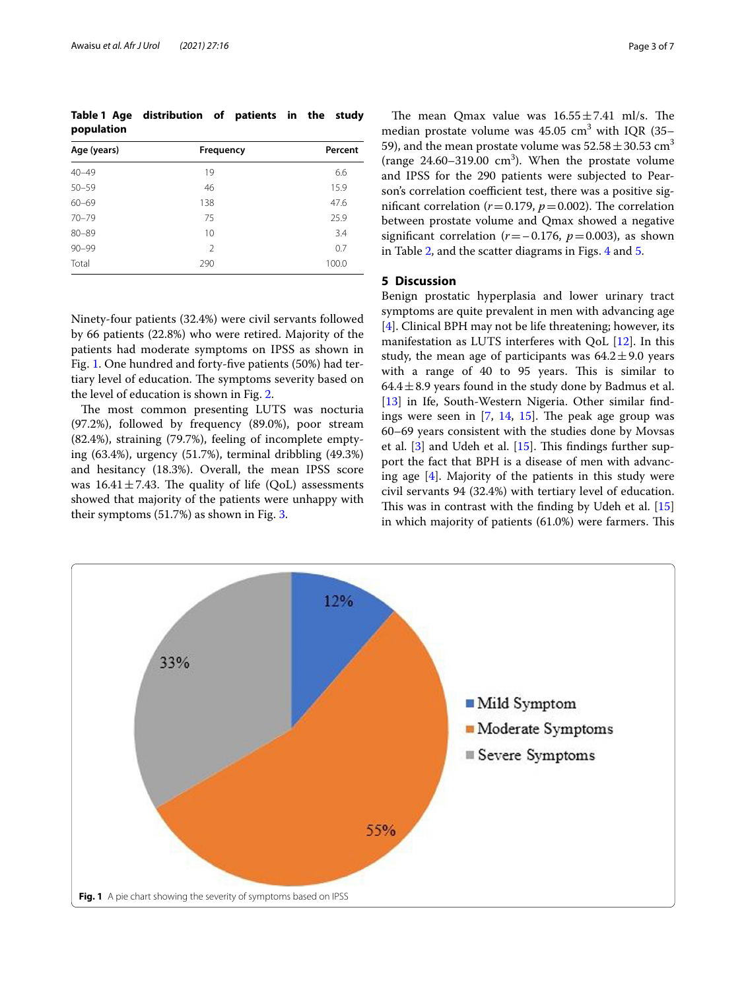<span id="page-2-0"></span>**Table 1 Age distribution of patients in the study population**

| Age (years) | Frequency     | Percent |
|-------------|---------------|---------|
| $40 - 49$   | 19            | 6.6     |
| $50 - 59$   | 46            | 15.9    |
| $60 - 69$   | 138           | 47.6    |
| $70 - 79$   | 75            | 25.9    |
| $80 - 89$   | 10            | 3.4     |
| $90 - 99$   | $\mathcal{P}$ | 0.7     |
| Total       | 290           | 100.0   |

Ninety-four patients (32.4%) were civil servants followed by 66 patients (22.8%) who were retired. Majority of the patients had moderate symptoms on IPSS as shown in Fig. [1.](#page-2-1) One hundred and forty-fve patients (50%) had tertiary level of education. The symptoms severity based on the level of education is shown in Fig. [2.](#page-3-0)

The most common presenting LUTS was nocturia (97.2%), followed by frequency (89.0%), poor stream (82.4%), straining (79.7%), feeling of incomplete emptying (63.4%), urgency (51.7%), terminal dribbling (49.3%) and hesitancy (18.3%). Overall, the mean IPSS score was  $16.41 \pm 7.43$ . The quality of life (QoL) assessments showed that majority of the patients were unhappy with their symptoms (51.7%) as shown in Fig. [3.](#page-3-1)

The mean Qmax value was  $16.55 \pm 7.41$  ml/s. The median prostate volume was  $45.05 \text{ cm}^3$  with IQR (35– 59), and the mean prostate volume was  $52.58 \pm 30.53$  cm<sup>3</sup> (range  $24.60 - 319.00$  cm<sup>3</sup>). When the prostate volume and IPSS for the 290 patients were subjected to Pearson's correlation coefficient test, there was a positive significant correlation ( $r = 0.179$ ,  $p = 0.002$ ). The correlation between prostate volume and Qmax showed a negative significant correlation ( $r = -0.176$ ,  $p = 0.003$ ), as shown in Table [2,](#page-4-0) and the scatter diagrams in Figs. [4](#page-4-1) and [5](#page-5-0).

### **5 Discussion**

Benign prostatic hyperplasia and lower urinary tract symptoms are quite prevalent in men with advancing age [[4\]](#page-6-3). Clinical BPH may not be life threatening; however, its manifestation as LUTS interferes with QoL [[12\]](#page-6-11). In this study, the mean age of participants was  $64.2 \pm 9.0$  years with a range of 40 to 95 years. This is similar to 64.4 $\pm$ 8.9 years found in the study done by Badmus et al. [[13\]](#page-6-12) in Ife, South-Western Nigeria. Other similar findings were seen in  $[7, 14, 15]$  $[7, 14, 15]$  $[7, 14, 15]$  $[7, 14, 15]$  $[7, 14, 15]$  $[7, 14, 15]$ . The peak age group was 60–69 years consistent with the studies done by Movsas et al.  $[3]$  $[3]$  and Udeh et al.  $[15]$ . This findings further support the fact that BPH is a disease of men with advancing age [\[4](#page-6-3)]. Majority of the patients in this study were civil servants 94 (32.4%) with tertiary level of education. This was in contrast with the finding by Udeh et al.  $[15]$  $[15]$  $[15]$ in which majority of patients  $(61.0%)$  were farmers. This

<span id="page-2-1"></span>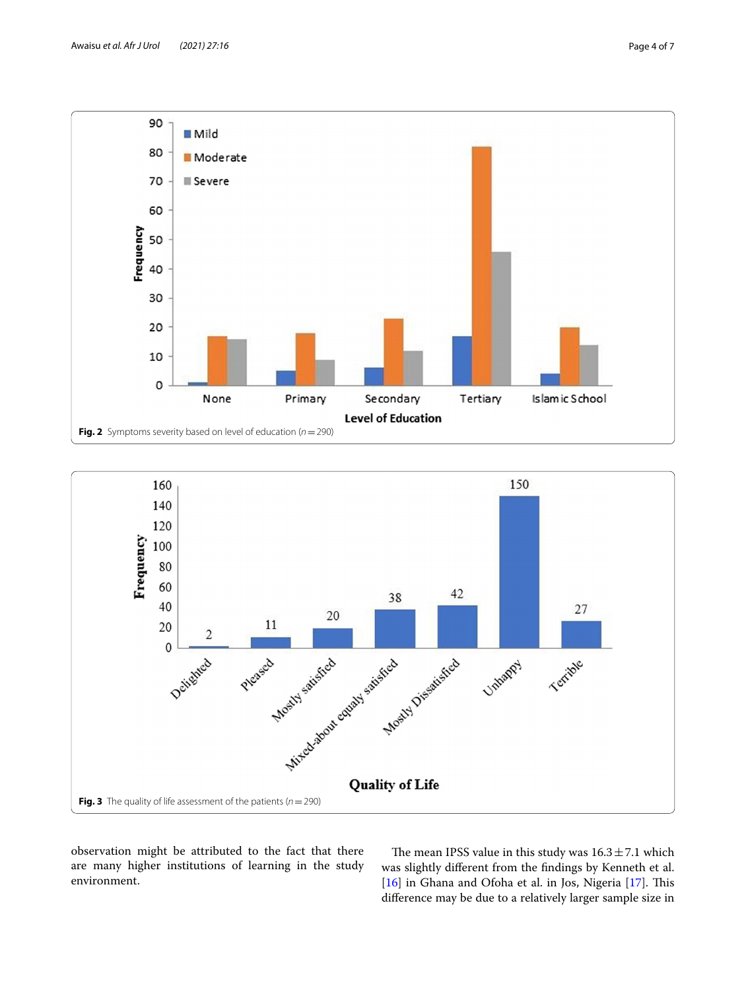

<span id="page-3-0"></span>

<span id="page-3-1"></span>observation might be attributed to the fact that there are many higher institutions of learning in the study environment.

The mean IPSS value in this study was  $16.3 \pm 7.1$  which was slightly diferent from the fndings by Kenneth et al.  $[16]$  $[16]$  in Ghana and Ofoha et al. in Jos, Nigeria  $[17]$  $[17]$  $[17]$ . This diference may be due to a relatively larger sample size in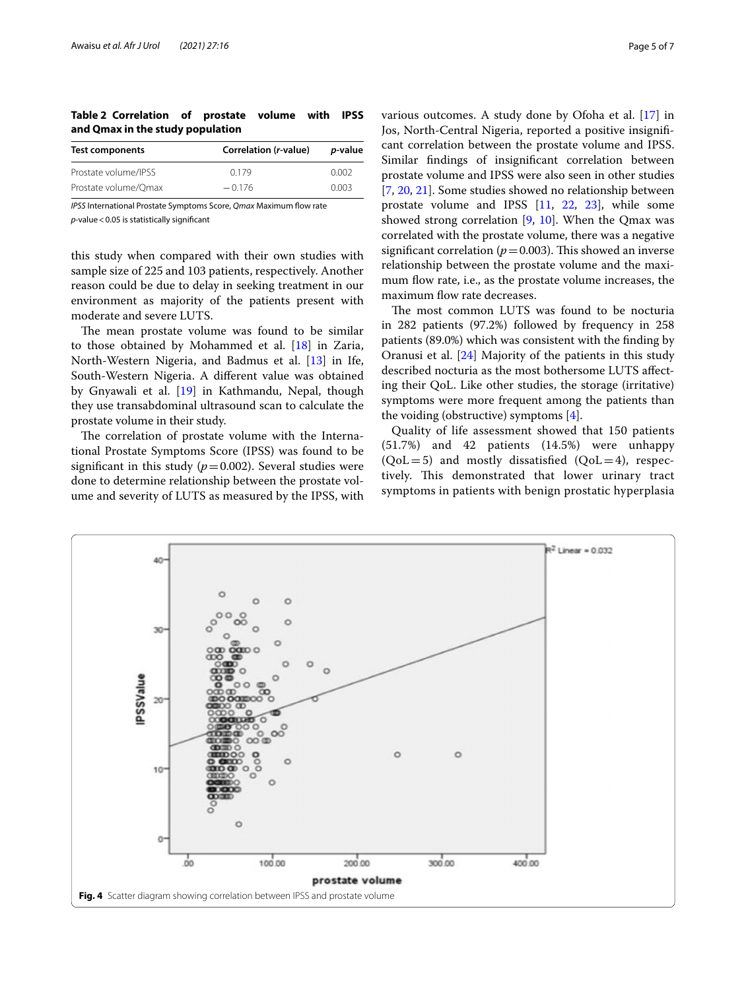<span id="page-4-0"></span>**Table 2 Correlation of prostate volume with IPSS and Qmax in the study population**

| Test components      | Correlation (r-value) | <i>p</i> -value |
|----------------------|-----------------------|-----------------|
| Prostate volume/IPSS | 0.179                 | 0.002           |
| Prostate volume/Omax | $-0.176$              | 0.003           |

*IPSS* International Prostate Symptoms Score, *Qmax* Maximum flow rate *p*-value<0.05 is statistically signifcant

this study when compared with their own studies with sample size of 225 and 103 patients, respectively. Another reason could be due to delay in seeking treatment in our environment as majority of the patients present with moderate and severe LUTS.

The mean prostate volume was found to be similar to those obtained by Mohammed et al. [[18\]](#page-6-17) in Zaria, North-Western Nigeria, and Badmus et al. [[13\]](#page-6-12) in Ife, South-Western Nigeria. A diferent value was obtained by Gnyawali et al. [[19\]](#page-6-18) in Kathmandu, Nepal, though they use transabdominal ultrasound scan to calculate the prostate volume in their study.

The correlation of prostate volume with the International Prostate Symptoms Score (IPSS) was found to be significant in this study  $(p=0.002)$ . Several studies were done to determine relationship between the prostate volume and severity of LUTS as measured by the IPSS, with various outcomes. A study done by Ofoha et al. [[17\]](#page-6-16) in Jos, North-Central Nigeria, reported a positive insignifcant correlation between the prostate volume and IPSS. Similar fndings of insignifcant correlation between prostate volume and IPSS were also seen in other studies [[7,](#page-6-6) [20](#page-6-19), [21\]](#page-6-20). Some studies showed no relationship between prostate volume and IPSS [[11](#page-6-10), [22,](#page-6-21) [23](#page-6-22)], while some showed strong correlation [\[9](#page-6-8), [10\]](#page-6-9). When the Qmax was correlated with the prostate volume, there was a negative significant correlation ( $p=0.003$ ). This showed an inverse relationship between the prostate volume and the maximum flow rate, i.e., as the prostate volume increases, the maximum flow rate decreases.

The most common LUTS was found to be nocturia in 282 patients (97.2%) followed by frequency in 258 patients (89.0%) which was consistent with the fnding by Oranusi et al. [[24\]](#page-6-23) Majority of the patients in this study described nocturia as the most bothersome LUTS affecting their QoL. Like other studies, the storage (irritative) symptoms were more frequent among the patients than the voiding (obstructive) symptoms [\[4\]](#page-6-3).

Quality of life assessment showed that 150 patients (51.7%) and 42 patients (14.5%) were unhappy  $(QoL=5)$  and mostly dissatisfied  $(QoL=4)$ , respectively. This demonstrated that lower urinary tract symptoms in patients with benign prostatic hyperplasia

<span id="page-4-1"></span>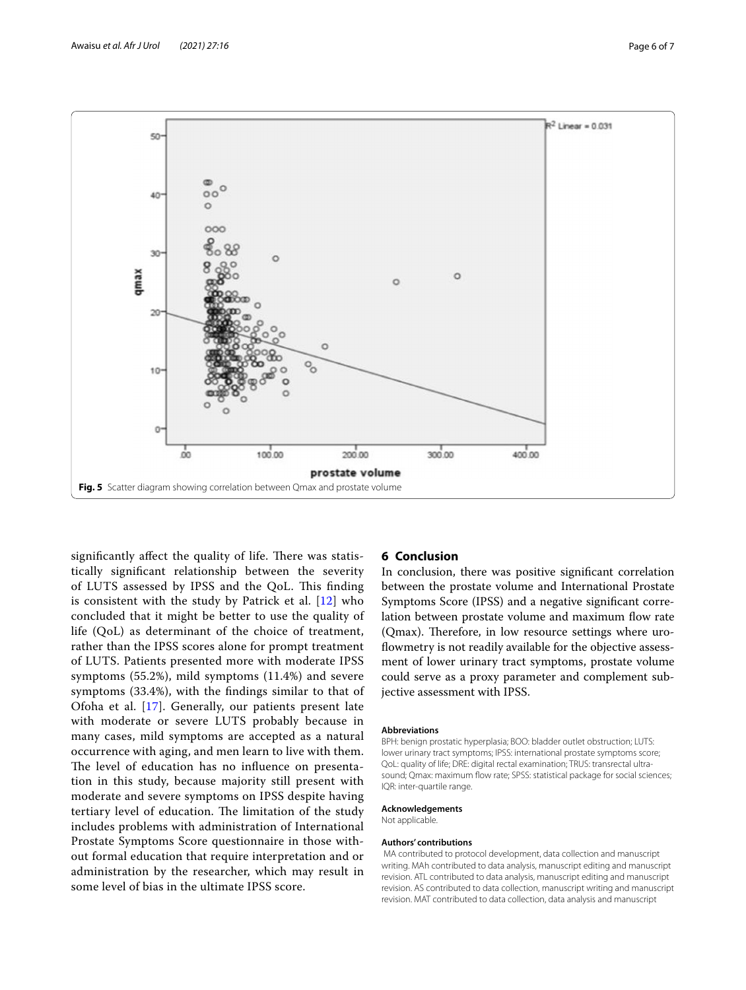

<span id="page-5-0"></span>significantly affect the quality of life. There was statistically signifcant relationship between the severity of LUTS assessed by IPSS and the QoL. This finding is consistent with the study by Patrick et al. [[12\]](#page-6-11) who concluded that it might be better to use the quality of life (QoL) as determinant of the choice of treatment, rather than the IPSS scores alone for prompt treatment of LUTS. Patients presented more with moderate IPSS symptoms (55.2%), mild symptoms (11.4%) and severe symptoms (33.4%), with the fndings similar to that of Ofoha et al. [\[17\]](#page-6-16). Generally, our patients present late with moderate or severe LUTS probably because in many cases, mild symptoms are accepted as a natural occurrence with aging, and men learn to live with them. The level of education has no influence on presentation in this study, because majority still present with moderate and severe symptoms on IPSS despite having tertiary level of education. The limitation of the study includes problems with administration of International Prostate Symptoms Score questionnaire in those without formal education that require interpretation and or administration by the researcher, which may result in some level of bias in the ultimate IPSS score.

### **6 Conclusion**

In conclusion, there was positive signifcant correlation between the prostate volume and International Prostate Symptoms Score (IPSS) and a negative signifcant correlation between prostate volume and maximum fow rate (Qmax). Therefore, in low resource settings where uroflowmetry is not readily available for the objective assessment of lower urinary tract symptoms, prostate volume could serve as a proxy parameter and complement subjective assessment with IPSS.

### **Abbreviations**

BPH: benign prostatic hyperplasia; BOO: bladder outlet obstruction; LUTS: lower urinary tract symptoms; IPSS: international prostate symptoms score; QoL: quality of life; DRE: digital rectal examination; TRUS: transrectal ultrasound; Qmax: maximum flow rate; SPSS: statistical package for social sciences; IQR: inter-quartile range.

### **Acknowledgements**

Not applicable.

### **Authors' contributions**

 MA contributed to protocol development, data collection and manuscript writing. MAh contributed to data analysis, manuscript editing and manuscript revision. ATL contributed to data analysis, manuscript editing and manuscript revision. AS contributed to data collection, manuscript writing and manuscript revision. MAT contributed to data collection, data analysis and manuscript